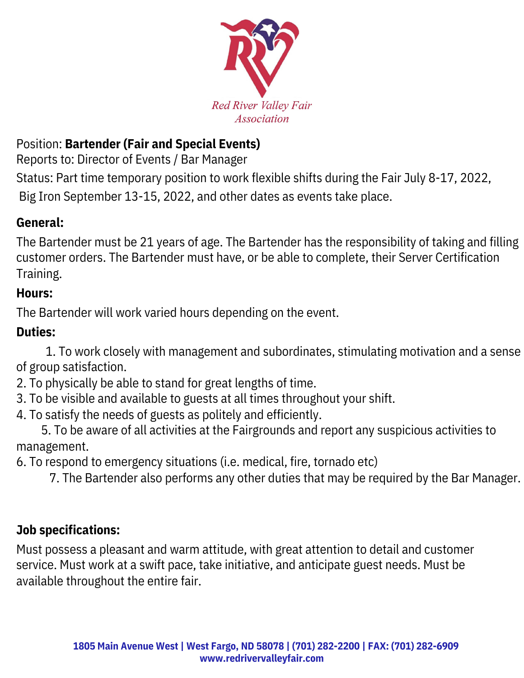

### Position: **Bartender (Fair and Special Events)**

Reports to: Director of Events / Bar Manager

Status: Part time temporary position to work flexible shifts during the Fair July 8-17, 2022, Big Iron September 13-15, 2022, and other dates as events take place.

#### **General:**

The Bartender must be 21 years of age. The Bartender has the responsibility of taking and filling customer orders. The Bartender must have, or be able to complete, their Server Certification Training.

#### **Hours:**

The Bartender will work varied hours depending on the event.

#### **Duties:**

1. To work closely with management and subordinates, stimulating motivation and a sense of group satisfaction.

- 2. To physically be able to stand for great lengths of time.
- 3. To be visible and available to guests at all times throughout your shift.
- 4. To satisfy the needs of guests as politely and efficiently.

5. To be aware of all activities at the Fairgrounds and report any suspicious activities to management.

6. To respond to emergency situations (i.e. medical, fire, tornado etc)

7. The Bartender also performs any other duties that may be required by the Bar Manager.

#### **Job specifications:**

Must possess a pleasant and warm attitude, with great attention to detail and customer service. Must work at a swift pace, take initiative, and anticipate guest needs. Must be available throughout the entire fair.